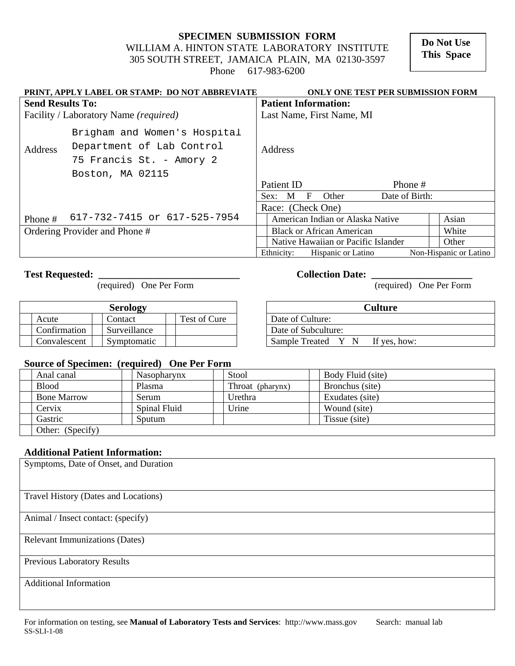**SPECIMEN SUBMISSION FORM**  WILLIAM A. HINTON STATE LABORATORY INSTITUTE 305 SOUTH STREET, JAMAICA PLAIN, MA 02130-3597 Phone 617-983-6200

 **Do Not Use This Space** 

| PRINT, APPLY LABEL OR STAMP: DO NOT ABBREVIATE |                                                           |                           | ONLY ONE TEST PER SUBMISSION FORM       |                |                        |  |  |  |
|------------------------------------------------|-----------------------------------------------------------|---------------------------|-----------------------------------------|----------------|------------------------|--|--|--|
| <b>Send Results To:</b>                        |                                                           |                           | <b>Patient Information:</b>             |                |                        |  |  |  |
| Facility / Laboratory Name <i>(required)</i>   |                                                           | Last Name, First Name, MI |                                         |                |                        |  |  |  |
| Address                                        | Brigham and Women's Hospital<br>Department of Lab Control | Address                   |                                         |                |                        |  |  |  |
|                                                | 75 Francis St. - Amory 2                                  |                           |                                         |                |                        |  |  |  |
|                                                | Boston, MA 02115                                          |                           |                                         |                |                        |  |  |  |
|                                                |                                                           |                           | Patient ID                              | Phone #        |                        |  |  |  |
|                                                |                                                           |                           | Other<br>$\mathbf{F}$<br>M<br>Sex:      | Date of Birth: |                        |  |  |  |
|                                                |                                                           |                           | Race: (Check One)                       |                |                        |  |  |  |
| Phone #                                        | 617-732-7415 or 617-525-7954                              |                           | American Indian or Alaska Native        |                | Asian                  |  |  |  |
| Ordering Provider and Phone #                  |                                                           |                           | <b>Black or African American</b>        |                | White                  |  |  |  |
|                                                |                                                           |                           | Native Hawaiian or Pacific Islander     |                | Other                  |  |  |  |
|                                                |                                                           |                           | Ethnicity:<br><b>Hispanic or Latino</b> |                | Non-Hispanic or Latino |  |  |  |

**Test Requested:** <br> **Collection Date:** <br> **Collection Date:** <br> **Collection Date:** <br>
(required) One Per Form (required) One Per Form (required) One Per Form

|              | <b>Serology</b> |              | Culture                               |
|--------------|-----------------|--------------|---------------------------------------|
| Acute        | . `ontact       | Test of Cure | Date of Culture:                      |
| Confirmation | Surveillance    |              | Date of Subculture:                   |
| Convalescent | Symptomatic     |              | <b>Sample Treated</b><br>If yes, how: |

| <b>Serology</b> |              | Culture                        |  |  |  |  |
|-----------------|--------------|--------------------------------|--|--|--|--|
| Contact         | Test of Cure | Date of Culture:               |  |  |  |  |
| Surveillance    |              | Date of Subculture:            |  |  |  |  |
| Symptomatic     |              | Sample Treated<br>If yes, how: |  |  |  |  |

### **Source of Specimen: (required) One Per Form**

| Anal canal         |  | <b>Nasopharynx</b> | Stool            |  | Body Fluid (site) |
|--------------------|--|--------------------|------------------|--|-------------------|
| <b>Blood</b>       |  | Plasma             | Throat (pharynx) |  | Bronchus (site)   |
| <b>Bone Marrow</b> |  | Serum              | Urethra          |  | Exudates (site)   |
| Cervix             |  | Spinal Fluid       | Urine            |  | Wound (site)      |
| Gastric            |  | Sputum             |                  |  | Tissue (site)     |
| Other: (Specify)   |  |                    |                  |  |                   |

## **Additional Patient Information:**

| Symptoms, Date of Onset, and Duration |  |  |  |
|---------------------------------------|--|--|--|
|                                       |  |  |  |
| Travel History (Dates and Locations)  |  |  |  |
|                                       |  |  |  |
| Animal / Insect contact: (specify)    |  |  |  |
| <b>Relevant Immunizations (Dates)</b> |  |  |  |
|                                       |  |  |  |
| <b>Previous Laboratory Results</b>    |  |  |  |
| <b>Additional Information</b>         |  |  |  |
|                                       |  |  |  |